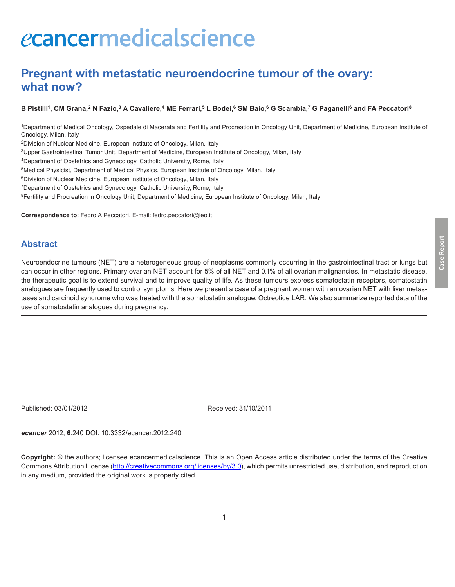# ecancermedicalscience

## **Pregnant with metastatic neuroendocrine tumour of the ovary: what now?**

B Pistilli<sup>1</sup>, CM Grana,<sup>2</sup> N Fazio,<sup>3</sup> A Cavaliere,<sup>4</sup> ME Ferrari,<sup>5</sup> L Bodei,<sup>6</sup> SM Baio,<sup>6</sup> G Scambia,<sup>7</sup> G Paganelli<sup>6</sup> and FA Peccatori<sup>8</sup>

1Department of Medical Oncology, Ospedale di Macerata and Fertility and Procreation in Oncology Unit, Department of Medicine, European Institute of Oncology, Milan, Italy

2Division of Nuclear Medicine, European Institute of Oncology, Milan, Italy

3Upper Gastrointestinal Tumor Unit, Department of Medicine, European Institute of Oncology, Milan, Italy

4Department of Obstetrics and Gynecology, Catholic University, Rome, Italy

5Medical Physicist, Department of Medical Physics, European Institute of Oncology, Milan, Italy

6Division of Nuclear Medicine, European Institute of Oncology, Milan, Italy

7Department of Obstetrics and Gynecology, Catholic University, Rome, Italy

<sup>8</sup>Fertility and Procreation in Oncology Unit, Department of Medicine, European Institute of Oncology, Milan, Italy

**Correspondence to:** Fedro A Peccatori. E-mail: fedro.peccatori@ieo.it

#### **Abstract**

Neuroendocrine tumours (NET) are a heterogeneous group of neoplasms commonly occurring in the gastrointestinal tract or lungs but can occur in other regions. Primary ovarian NET account for 5% of all NET and 0.1% of all ovarian malignancies. In metastatic disease, the therapeutic goal is to extend survival and to improve quality of life. As these tumours express somatostatin receptors, somatostatin analogues are frequently used to control symptoms. Here we present a case of a pregnant woman with an ovarian NET with liver metastases and carcinoid syndrome who was treated with the somatostatin analogue, Octreotide LAR. We also summarize reported data of the use of somatostatin analogues during pregnancy.

Published: 03/01/2012 Received: 31/10/2011

*ecancer* 2012, **6**:240 DOI: [10.3332/ecancer.2012.240](http://dx.doi.org/10.3332/ecancer.2011.240)

**Copyright:** © the authors; licensee ecancermedicalscience. This is an Open Access article distributed under the terms of the Creative Commons Attribution License (http://creativecommons.org/licenses/by/3.0), which permits unrestricted use, distribution, and reproduction in any medium, provided the original work is properly cited.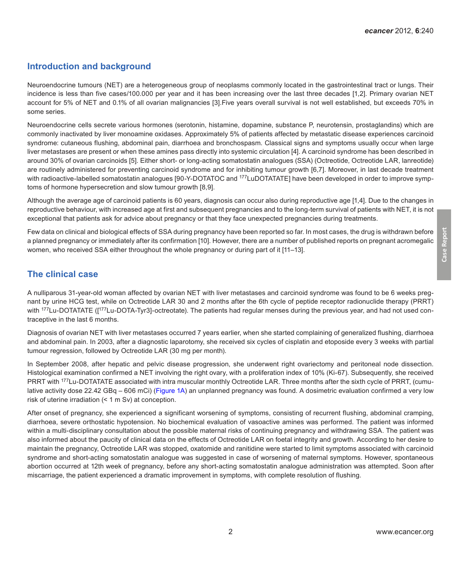### **Introduction and background**

Neuroendocrine tumours (NET) are a heterogeneous group of neoplasms commonly located in the gastrointestinal tract or lungs. Their incidence is less than five cases/100.000 per year and it has been increasing over the last three decades [1,2]. Primary ovarian NET account for 5% of NET and 0.1% of all ovarian malignancies [3].Five years overall survival is not well established, but exceeds 70% in some series.

Neuroendocrine cells secrete various hormones (serotonin, histamine, dopamine, substance P, neurotensin, prostaglandins) which are commonly inactivated by liver monoamine oxidases. Approximately 5% of patients affected by metastatic disease experiences carcinoid syndrome: cutaneous flushing, abdominal pain, diarrhoea and bronchospasm. Classical signs and symptoms usually occur when large liver metastases are present or when these amines pass directly into systemic circulation [4]. A carcinoid syndrome has been described in around 30% of ovarian carcinoids [5]. Either short- or long-acting somatostatin analogues (SSA) (Octreotide, Octreotide LAR, lanreotide) are routinely administered for preventing carcinoid syndrome and for inhibiting tumour growth [6,7]. Moreover, in last decade treatment with radioactive-labelled somatostatin analogues [90-Y-DOTATOC and <sup>177</sup>LuDOTATATE] have been developed in order to improve symptoms of hormone hypersecretion and slow tumour growth [8,9].

Although the average age of carcinoid patients is 60 years, diagnosis can occur also during reproductive age [1,4]. Due to the changes in reproductive behaviour, with increased age at first and subsequent pregnancies and to the long-term survival of patients with NET, it is not exceptional that patients ask for advice about pregnancy or that they face unexpected pregnancies during treatments.

Few data on clinical and biological effects of SSA during pregnancy have been reported so far. In most cases, the drug is withdrawn before a planned pregnancy or immediately after its confirmation [10]. However, there are a number of published reports on pregnant acromegalic women, who received SSA either throughout the whole pregnancy or during part of it [11–13].

#### **The clinical case**

A nulliparous 31-year-old woman affected by ovarian NET with liver metastases and carcinoid syndrome was found to be 6 weeks pregnant by urine HCG test, while on Octreotide LAR 30 and 2 months after the 6th cycle of peptide receptor radionuclide therapy (PRRT) with <sup>177</sup>Lu-DOTATATE (<sup>177</sup>Lu-DOTA-Tyr3]-octreotate). The patients had regular menses during the previous year, and had not used contraceptive in the last 6 months.

Diagnosis of ovarian NET with liver metastases occurred 7 years earlier, when she started complaining of generalized flushing, diarrhoea and abdominal pain. In 2003, after a diagnostic laparotomy, she received six cycles of cisplatin and etoposide every 3 weeks with partial tumour regression, followed by Octreotide LAR (30 mg per month).

In September 2008, after hepatic and pelvic disease progression, she underwent right ovariectomy and peritoneal node dissection. Histological examination confirmed a NET involving the right ovary, with a proliferation index of 10% (Ki-67). Subsequently, she received PRRT with <sup>177</sup>Lu-DOTATATE associated with intra muscular monthly Octreotide LAR. Three months after the sixth cycle of PRRT, (cumulative activity dose 22.42 GBq – 606 mCi) ([Figure 1A\)](#page-2-0) an unplanned pregnancy was found. A dosimetric evaluation confirmed a very low risk of uterine irradiation (< 1 m Sv) at conception.

After onset of pregnancy, she experienced a significant worsening of symptoms, consisting of recurrent flushing, abdominal cramping, diarrhoea, severe orthostatic hypotension. No biochemical evaluation of vasoactive amines was performed. The patient was informed within a multi-disciplinary consultation about the possible maternal risks of continuing pregnancy and withdrawing SSA. The patient was also informed about the paucity of clinical data on the effects of Octreotide LAR on foetal integrity and growth. According to her desire to maintain the pregnancy, Octreotide LAR was stopped, oxatomide and ranitidine were started to limit symptoms associated with carcinoid syndrome and short-acting somatostatin analogue was suggested in case of worsening of maternal symptoms. However, spontaneous abortion occurred at 12th week of pregnancy, before any short-acting somatostatin analogue administration was attempted. Soon after miscarriage, the patient experienced a dramatic improvement in symptoms, with complete resolution of flushing.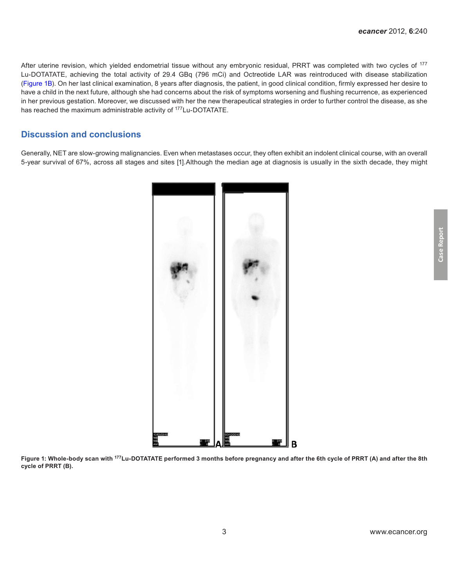<span id="page-2-0"></span>After uterine revision, which yielded endometrial tissue without any embryonic residual, PRRT was completed with two cycles of <sup>177</sup> Lu-DOTATATE, achieving the total activity of 29.4 GBq (796 mCi) and Octreotide LAR was reintroduced with disease stabilization (Figure 1B). On her last clinical examination, 8 years after diagnosis, the patient, in good clinical condition, firmly expressed her desire to have a child in the next future, although she had concerns about the risk of symptoms worsening and flushing recurrence, as experienced in her previous gestation. Moreover, we discussed with her the new therapeutical strategies in order to further control the disease, as she has reached the maximum administrable activity of <sup>177</sup>Lu-DOTATATE.

#### **Discussion and conclusions**

Generally, NET are slow-growing malignancies. Even when metastases occur, they often exhibit an indolent clinical course, with an overall 5-year survival of 67%, across all stages and sites [1].Although the median age at diagnosis is usually in the sixth decade, they might



**Figure 1: Whole-body scan with 177Lu-DOTATATE performed 3 months before pregnancy and after the 6th cycle of PRRT (A) and after the 8th cycle of PRRT (B).**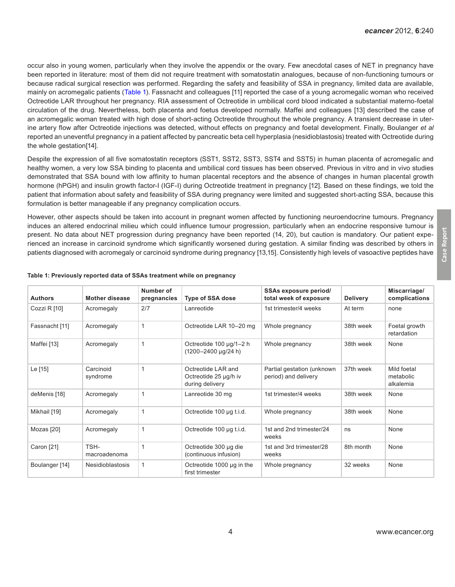**Case Report**

Case Report

occur also in young women, particularly when they involve the appendix or the ovary. Few anecdotal cases of NET in pregnancy have been reported in literature: most of them did not require treatment with somatostatin analogues, because of non-functioning tumours or because radical surgical resection was performed. Regarding the safety and feasibility of SSA in pregnancy, limited data are available, mainly on acromegalic patients (Table 1). Fassnacht and colleagues [11] reported the case of a young acromegalic woman who received Octreotide LAR throughout her pregnancy. RIA assessment of Octreotide in umbilical cord blood indicated a substantial materno-foetal circulation of the drug. Nevertheless, both placenta and foetus developed normally. Maffei and colleagues [13] described the case of an acromegalic woman treated with high dose of short-acting Octreotide throughout the whole pregnancy. A transient decrease in uterine artery flow after Octreotide injections was detected, without effects on pregnancy and foetal development. Finally, Boulanger *et al* reported an uneventful pregnancy in a patient affected by pancreatic beta cell hyperplasia (nesidioblastosis) treated with Octreotide during the whole gestation[14].

Despite the expression of all five somatostatin receptors (SST1, SST2, SST3, SST4 and SST5) in human placenta of acromegalic and healthy women, a very low SSA binding to placenta and umbilical cord tissues has been observed. Previous in vitro and in vivo studies demonstrated that SSA bound with low affinity to human placental receptors and the absence of changes in human placental growth hormone (hPGH) and insulin growth factor-I (IGF-I) during Octreotide treatment in pregnancy [12]. Based on these findings, we told the patient that information about safety and feasibility of SSA during pregnancy were limited and suggested short-acting SSA, because this formulation is better manageable if any pregnancy complication occurs.

However, other aspects should be taken into account in pregnant women affected by functioning neuroendocrine tumours. Pregnancy induces an altered endocrinal milieu which could influence tumour progression, particularly when an endocrine responsive tumour is present. No data about NET progression during pregnancy have been reported (14, 20), but caution is mandatory. Our patient experienced an increase in carcinoid syndrome which significantly worsened during gestation. A similar finding was described by others in patients diagnosed with acromegaly or carcinoid syndrome during pregnancy [13,15]. Consistently high levels of vasoactive peptides have

| <b>Authors</b> | <b>Mother disease</b>   | Number of<br>pregnancies | <b>Type of SSA dose</b>                                        | SSAs exposure period/<br>total week of exposure    | <b>Delivery</b> | Miscarriage/<br>complications         |
|----------------|-------------------------|--------------------------|----------------------------------------------------------------|----------------------------------------------------|-----------------|---------------------------------------|
| Cozzi R [10]   | Acromegaly              | 2/7                      | Lanreotide                                                     | 1st trimester/4 weeks                              | At term         | none                                  |
| Fassnacht [11] | Acromegaly              | 1                        | Octreotide LAR 10-20 mg                                        | Whole pregnancy                                    | 38th week       | Foetal growth<br>retardation          |
| Maffei [13]    | Acromegaly              | $\mathbf{1}$             | Octreotide 100 µg/1-2 h<br>(1200-2400 µg/24 h)                 | Whole pregnancy                                    | 38th week       | None                                  |
| Le [15]        | Carcinoid<br>syndrome   | 1                        | Octreotide LAR and<br>Octreotide 25 µg/h iv<br>during delivery | Partial gestation (unknown<br>period) and delivery | 37th week       | Mild foetal<br>metabolic<br>alkalemia |
| deMenis [18]   | Acromegaly              | $\mathbf{1}$             | Lanreotide 30 mg                                               | 1st trimester/4 weeks                              | 38th week       | None                                  |
| Mikhail [19]   | Acromegaly              | $\mathbf{1}$             | Octreotide 100 µg t.i.d.                                       | Whole pregnancy                                    | 38th week       | None                                  |
| Mozas [20]     | Acromegaly              | $\mathbf{1}$             | Octreotide 100 µg t.i.d.                                       | 1st and 2nd trimester/24<br>weeks                  | ns              | None                                  |
| Caron [21]     | TSH-<br>macroadenoma    | 1                        | Octreotide 300 µg die<br>(continuous infusion)                 | 1st and 3rd trimester/28<br>weeks                  | 8th month       | None                                  |
| Boulanger [14] | <b>Nesidioblastosis</b> | 1                        | Octreotide $1000 \mu$ g in the<br>first trimester              | Whole pregnancy                                    | 32 weeks        | None                                  |

#### **Table 1: Previously reported data of SSAs treatment while on pregnancy**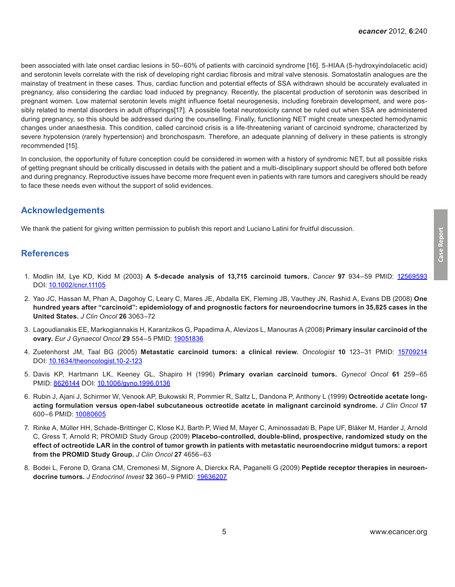been associated with late onset cardiac lesions in 50–60% of patients with carcinoid syndrome [16]. 5-HIAA (5-hydroxyindolacetic acid) and serotonin levels correlate with the risk of developing right cardiac fibrosis and mitral valve stenosis. Somatostatin analogues are the mainstay of treatment in these cases. Thus, cardiac function and potential effects of SSA withdrawn should be accurately evaluated in pregnancy, also considering the cardiac load induced by pregnancy. Recently, the placental production of serotonin was described in pregnant women. Low maternal serotonin levels might influence foetal neurogenesis, including forebrain development, and were possibly related to mental disorders in adult offsprings[17]. A possible foetal neurotoxicity cannot be ruled out when SSA are administered during pregnancy, so this should be addressed during the counselling. Finally, functioning NET might create unexpected hemodynamic changes under anaesthesia. This condition, called carcinoid crisis is a life-threatening variant of carcinoid syndrome, characterized by severe hypotension (rarely hypertension) and bronchospasm. Therefore, an adequate planning of delivery in these patients is strongly recommended [15].

In conclusion, the opportunity of future conception could be considered in women with a history of syndromic NET, but all possible risks of getting pregnant should be critically discussed in details with the patient and a multi-disciplinary support should be offered both before and during pregnancy. Reproductive issues have become more frequent even in patients with rare tumors and caregivers should be ready to face these needs even without the support of solid evidences.

#### **Acknowledgements**

We thank the patient for giving written permission to publish this report and Luciano Latini for fruitful discussion.

#### **References**

- 1. Modlin IM, Lye KD, Kidd M (2003) **A 5-decade analysis of 13,715 carcinoid tumors.** *Cancer* **97** 934–59 PMID: [12569593](http://www.ncbi.nlm.nih.gov/pubmed/12569593) DOI: [10.1002/cncr.11105](http://dx.doi.org/10.1002/cncr.11105)
- 2. Yao JC, Hassan M, Phan A, Dagohoy C, Leary C, Mares JE, Abdalla EK, Fleming JB, Vauthey JN, Rashid A, Evans DB (2008) **One hundred years after "carcinoid": epidemiology of and prognostic factors for neuroendocrine tumors in 35,825 cases in the United States.** *J Clin Oncol* **26** 3063–72
- 3. Lagoudianakis EE, Markogiannakis H, Karantzikos G, Papadima A, Alevizos L, Manouras A (2008) **Primary insular carcinoid of the ovary.** *Eur J Gynaecol Oncol* **29** 554–5 PMID: [19051836](http://www.ncbi.nlm.nih.gov/pubmed/19051836)
- 4. Zuetenhorst JM, Taal BG (2005) **Metastatic carcinoid tumors: a clinical review.** *Oncologist* **10** 123–31 PMID: [15709214](http://www.ncbi.nlm.nih.gov/pubmed/15709214) DOI: [10.1634/theoncologist.10-2-123](http://dx.doi.org/10.1634/theoncologist.10-2-123)
- 5. Davis KP, Hartmann LK, Keeney GL, Shapiro H (1996) **Primary ovarian carcinoid tumors.** *Gynecol Oncol* **61** 259–65 PMID: [8626144](http://www.ncbi.nlm.nih.gov/pubmed/8626144) DOI: [10.1006/gyno.1996.0136](http://dx.doi.org/10.1006/gyno.1996.0136)
- 6. Rubin J, Ajani J, Schirmer W, Venook AP, Bukowski R, Pommier R, Saltz L, Dandona P, Anthony L (1999) **Octreotide acetate longacting formulation versus open-label subcutaneous octreotide acetate in malignant carcinoid syndrome.** *J Clin Oncol* **17** 600–6 PMID: [10080605](http://www.ncbi.nlm.nih.gov/pubmed/10080605)
- 7. Rinke A, Müller HH, Schade-Brittinger C, Klose KJ, Barth P, Wied M, Mayer C, Aminossadati B, Pape UF, Bläker M, Harder J, Arnold C, Gress T, Arnold R; PROMID Study Group (2009) **Placebo-controlled, double-blind, prospective, randomized study on the effect of octreotide LAR in the control of tumor growth in patients with metastatic neuroendocrine midgut tumors: a report from the PROMID Study Group.** *J Clin Oncol* **27** 4656–63
- 8. Bodei L, Ferone D, Grana CM, Cremonesi M, Signore A, Dierckx RA, Paganelli G (2009) **Peptide receptor therapies in neuroendocrine tumors.** *J Endocrinol Invest* **32** 360–9 PMID: [19636207](http://www.ncbi.nlm.nih.gov/pubmed/19636207)